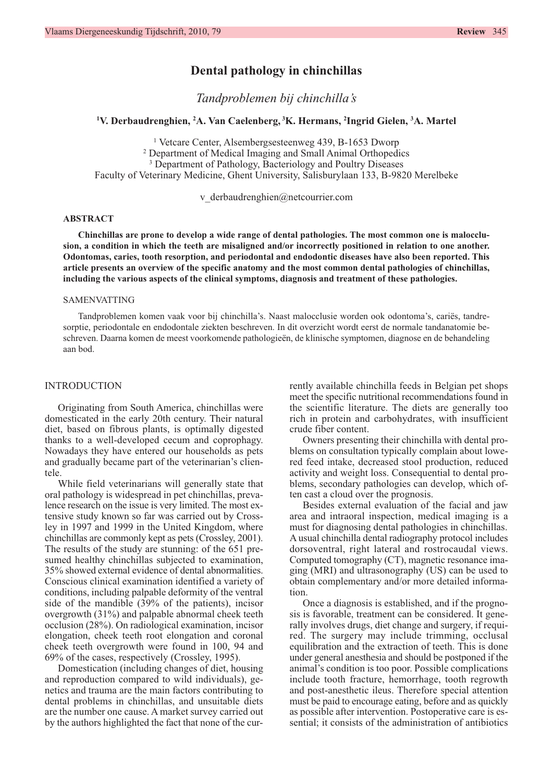# **Dental pathology in chinchillas**

*Tandproblemen bij chinchilla's*

**1 V. Derbaudrenghien, 2 A. Van Caelenberg, <sup>3</sup> K. Hermans, 2 Ingrid Gielen, 3 A. Martel**

<sup>1</sup> Vetcare Center, Alsembergsesteenweg 439, B-1653 Dworp <sup>2</sup> Department of Medical Imaging and Small Animal Orthopedics <sup>3</sup> Department of Pathology, Bacteriology and Poultry Diseases Faculty of Veterinary Medicine, Ghent University, Salisburylaan 133, B-9820 Merelbeke

v\_derbaudrenghien@netcourrier.com

## **ABSTRACT**

**Chinchillas are prone to develop a wide range of dental pathologies. The most common one is malocclusion, a condition in which the teeth are misaligned and/or incorrectly positioned in relation to one another. Odontomas, caries, tooth resorption, and periodontal and endodontic diseases have also been reported. This article presents an overview of the specific anatomy and the most common dental pathologies of chinchillas, including the various aspects of the clinical symptoms, diagnosis and treatment of these pathologies.** 

### SAMENVATTING

Tandproblemen komen vaak voor bij chinchilla's. Naast malocclusie worden ook odontoma's, cariës, tandresorptie, periodontale en endodontale ziekten beschreven. In dit overzicht wordt eerst de normale tandanatomie beschreven. Daarna komen de meest voorkomende pathologieën, de klinische symptomen, diagnose en de behandeling aan bod.

#### INTRODUCTION

Originating from South America, chinchillas were domesticated in the early 20th century. Their natural diet, based on fibrous plants, is optimally digested thanks to a well-developed cecum and coprophagy. Nowadays they have entered our households as pets and gradually became part of the veterinarian's clientele.

While field veterinarians will generally state that oral pathology is widespread in pet chinchillas, prevalence research on the issue is very limited. The most extensive study known so far was carried out by Crossley in 1997 and 1999 in the United Kingdom, where chinchillas are commonly kept as pets (Crossley, 2001). The results of the study are stunning: of the 651 presumed healthy chinchillas subjected to examination, 35% showed external evidence of dental abnormalities. Conscious clinical examination identified a variety of conditions, including palpable deformity of the ventral side of the mandible (39% of the patients), incisor overgrowth (31%) and palpable abnormal cheek teeth occlusion (28%). On radiological examination, incisor elongation, cheek teeth root elongation and coronal cheek teeth overgrowth were found in 100, 94 and 69% of the cases, respectively (Crossley, 1995).

Domestication (including changes of diet, housing and reproduction compared to wild individuals), genetics and trauma are the main factors contributing to dental problems in chinchillas, and unsuitable diets are the number one cause. A market survey carried out by the authors highlighted the fact that none of the currently available chinchilla feeds in Belgian pet shops meet the specific nutritional recommendations found in the scientific literature. The diets are generally too rich in protein and carbohydrates, with insufficient crude fiber content.

Owners presenting their chinchilla with dental problems on consultation typically complain about lowered feed intake, decreased stool production, reduced activity and weight loss. Consequential to dental problems, secondary pathologies can develop, which often cast a cloud over the prognosis.

Besides external evaluation of the facial and jaw area and intraoral inspection, medical imaging is a must for diagnosing dental pathologies in chinchillas. A usual chinchilla dental radiography protocol includes dorsoventral, right lateral and rostrocaudal views. Computed tomography (CT), magnetic resonance imaging (MRI) and ultrasonography (US) can be used to obtain complementary and/or more detailed information.

Once a diagnosis is established, and if the prognosis is favorable, treatment can be considered. It generally involves drugs, diet change and surgery, if required. The surgery may include trimming, occlusal equilibration and the extraction of teeth. This is done under general anesthesia and should be postponed if the animal's condition is too poor. Possible complications include tooth fracture, hemorrhage, tooth regrowth and post-anesthetic ileus. Therefore special attention must be paid to encourage eating, before and as quickly as possible after intervention. Postoperative care is essential; it consists of the administration of antibiotics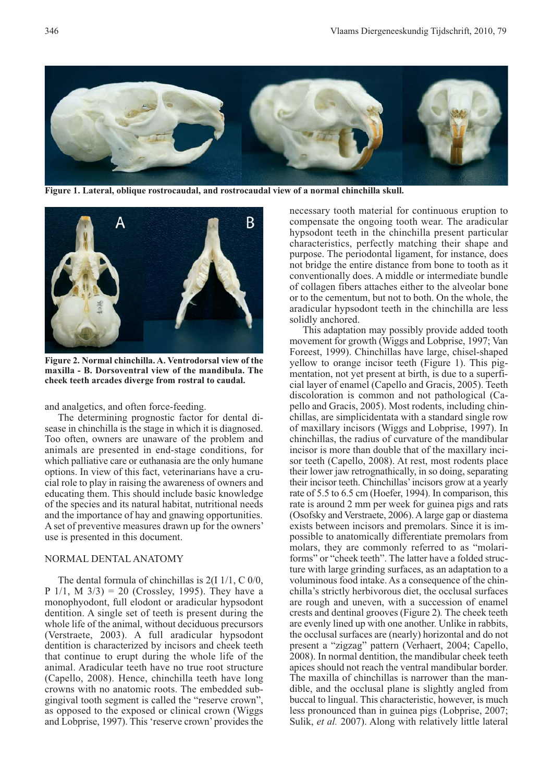

**Figure 1. Lateral, oblique rostrocaudal, and rostrocaudal view of a normal chinchilla skull.**



**Figure 2. Normal chinchilla. A. Ventrodorsal view of the maxilla - B. Dorsoventral view of the mandibula. The cheek teeth arcades diverge from rostral to caudal.**

#### and analgetics, and often force-feeding.

The determining prognostic factor for dental disease in chinchilla is the stage in which it is diagnosed. Too often, owners are unaware of the problem and animals are presented in end-stage conditions, for which palliative care or euthanasia are the only humane options. In view of this fact, veterinarians have a crucial role to play in raising the awareness of owners and educating them. This should include basic knowledge of the species and its natural habitat, nutritional needs and the importance of hay and gnawing opportunities. A set of preventive measures drawn up for the owners' use is presented in this document.

# NORMAL DENTAL ANATOMY

The dental formula of chinchillas is 2(I 1/1, C 0/0, P  $1/1$ , M  $3/3$ ) = 20 (Crossley, 1995). They have a monophyodont, full elodont or aradicular hypsodont dentition. A single set of teeth is present during the whole life of the animal, without deciduous precursors (Verstraete, 2003). A full aradicular hypsodont dentition is characterized by incisors and cheek teeth that continue to erupt during the whole life of the animal. Aradicular teeth have no true root structure (Capello, 2008). Hence, chinchilla teeth have long crowns with no anatomic roots. The embedded sub gingival tooth segment is called the "reserve crown", as opposed to the exposed or clinical crown (Wiggs and Lobprise, 1997). This 'reserve crown' provides the

necessary tooth material for continuous eruption to compensate the ongoing tooth wear. The aradicular hypsodont teeth in the chinchilla present particular characteristics, perfectly matching their shape and purpose. The periodontal ligament, for instance, does not bridge the entire distance from bone to tooth as it conventionally does. A middle or intermediate bundle of collagen fibers attaches either to the alveolar bone or to the cementum, but not to both. On the whole, the aradicular hypsodont teeth in the chinchilla are less solidly anchored.

This adaptation may possibly provide added tooth movement for growth (Wiggs and Lobprise, 1997; Van Foreest, 1999). Chinchillas have large, chisel-shaped yellow to orange incisor teeth (Figure 1). This pigmentation, not yet present at birth, is due to a superficial layer of enamel (Capello and Gracis, 2005). Teeth discoloration is common and not pathological (Capello and Gracis, 2005). Most rodents, including chinchillas, are simplicidentata with a standard single row of maxillary incisors (Wiggs and Lobprise, 1997). In chinchillas, the radius of curvature of the mandibular incisor is more than double that of the maxillary incisor teeth (Capello, 2008). At rest, most rodents place their lower jaw retrognathically, in so doing, separating their incisor teeth. Chinchillas' incisors grow at a yearly rate of 5.5 to 6.5 cm (Hoefer, 1994). In comparison, this rate is around 2 mm per week for guinea pigs and rats (Osofsky and Verstraete, 2006). A large gap or diastema exists between incisors and premolars. Since it is impossible to anatomically differentiate premolars from molars, they are commonly referred to as "molariforms" or "cheek teeth". The latter have a folded structure with large grinding surfaces, as an adaptation to a voluminous food intake. As a consequence of the chinchilla's strictly herbivorous diet, the occlusal surfaces are rough and uneven, with a succession of enamel crests and dentinal grooves (Figure 2)*.* The cheek teeth are evenly lined up with one another. Unlike in rabbits, the occlusal surfaces are (nearly) horizontal and do not present a "zigzag" pattern (Verhaert, 2004; Capello, 2008). In normal dentition, the mandibular cheek teeth apices should not reach the ventral mandibular border. The maxilla of chinchillas is narrower than the mandible, and the occlusal plane is slightly angled from buccal to lingual. This characteristic, however, is much less pronounced than in guinea pigs (Lobprise, 2007; Sulik, *et al.* 2007). Along with relatively little lateral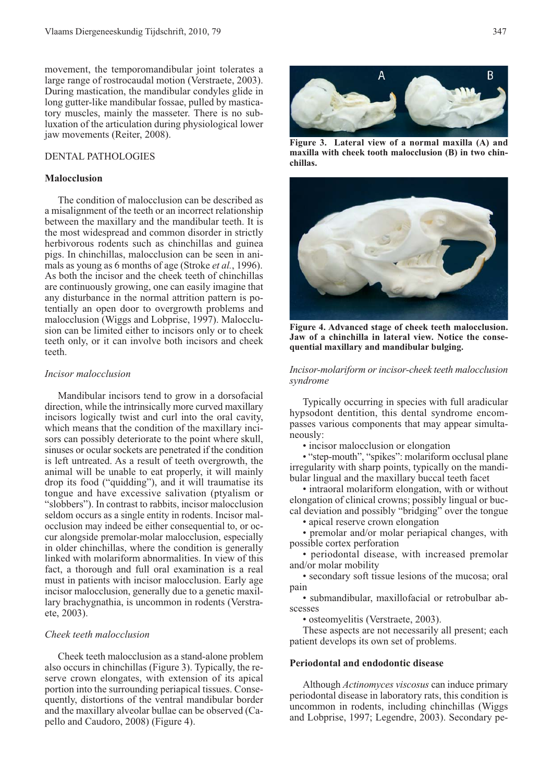movement, the temporomandibular joint tolerates a large range of rostrocaudal motion (Verstraete, 2003). During mastication, the mandibular condyles glide in long gutter-like mandibular fossae, pulled by masticatory muscles, mainly the masseter. There is no subluxation of the articulation during physiological lower jaw movements (Reiter, 2008).

# DENTAL PATHOLOGIES

# **Malocclusion**

The condition of malocclusion can be described as a misalignment of the teeth or an incorrect relationship between the maxillary and the mandibular teeth. It is the most widespread and common disorder in strictly herbivorous rodents such as chinchillas and guinea pigs. In chinchillas, malocclusion can be seen in animals as young as 6 months of age (Stroke *et al.*, 1996). As both the incisor and the cheek teeth of chinchillas are continuously growing, one can easily imagine that any disturbance in the normal attrition pattern is potentially an open door to overgrowth problems and malocclusion (Wiggs and Lobprise, 1997). Malocclusion can be limited either to incisors only or to cheek teeth only, or it can involve both incisors and cheek teeth.

### *Incisor malocclusion*

Mandibular incisors tend to grow in a dorsofacial direction, while the intrinsically more curved maxillary incisors logically twist and curl into the oral cavity, which means that the condition of the maxillary incisors can possibly deteriorate to the point where skull, sinuses or ocular sockets are penetrated if the condition is left untreated. As a result of teeth overgrowth, the animal will be unable to eat properly, it will mainly drop its food ("quidding"), and it will traumatise its tongue and have excessive salivation (ptyalism or "slobbers"). In contrast to rabbits, incisor malocclusion seldom occurs as a single entity in rodents. Incisor malocclusion may indeed be either consequential to, or occur alongside premolar-molar malocclusion, especially in older chinchillas, where the condition is generally linked with molariform abnormalities. In view of this fact, a thorough and full oral examination is a real must in patients with incisor malocclusion. Early age incisor malocclusion, generally due to a genetic maxillary brachygnathia, is uncommon in rodents (Verstraete, 2003).

# *Cheek teeth malocclusion*

Cheek teeth malocclusion as a stand-alone problem also occurs in chinchillas (Figure 3). Typically, the reserve crown elongates, with extension of its apical portion into the surrounding periapical tissues. Consequently, distortions of the ventral mandibular border and the maxillary alveolar bullae can be observed (Capello and Caudoro, 2008) (Figure 4).



**Figure 3. Lateral view of a normal maxilla (A) and maxilla with cheek tooth malocclusion (B) in two chinchillas.** 



**Figure 4. Advanced stage of cheek teeth malocclusion. Jaw of a chinchilla in lateral view. Notice the consequential maxillary and mandibular bulging.**

*Incisor-molariform or incisor-cheek teeth malocclusion syndrome*

Typically occurring in species with full aradicular hypsodont dentition, this dental syndrome encompasses various components that may appear simultaneously:

• incisor malocclusion or elongation

• "step-mouth", "spikes": molariform occlusal plane irregularity with sharp points, typically on the mandibular lingual and the maxillary buccal teeth facet

• intraoral molariform elongation, with or without elongation of clinical crowns; possibly lingual or buccal deviation and possibly "bridging" over the tongue

• apical reserve crown elongation

• premolar and/or molar periapical changes, with possible cortex perforation

• periodontal disease, with increased premolar and/or molar mobility

• secondary soft tissue lesions of the mucosa; oral pain

• submandibular, maxillofacial or retrobulbar abscesses

• osteomyelitis (Verstraete, 2003).

These aspects are not necessarily all present; each patient develops its own set of problems.

# **Periodontal and endodontic disease**

Although *Actinomyces viscosus* can induce primary periodontal disease in laboratory rats, this condition is uncommon in rodents, including chinchillas (Wiggs and Lobprise, 1997; Legendre, 2003). Secondary pe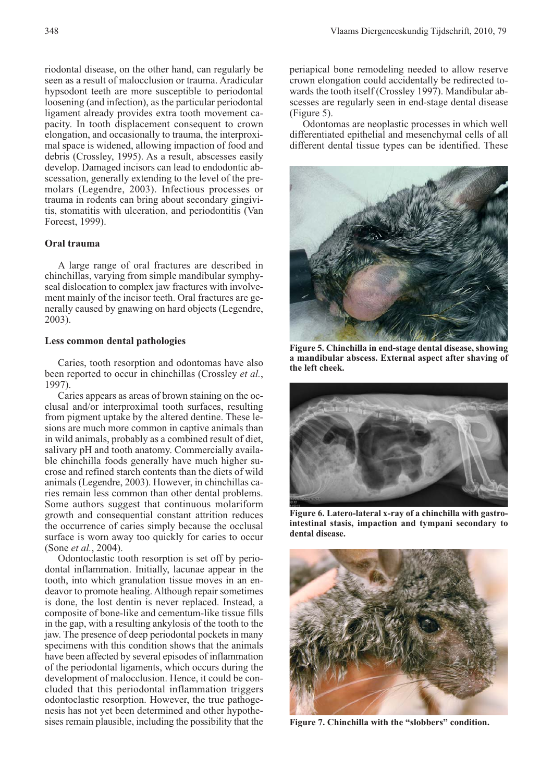riodontal disease, on the other hand, can regularly be seen as a result of malocclusion or trauma. Aradicular hypsodont teeth are more susceptible to periodontal loosening (and infection), as the particular periodontal ligament already provides extra tooth movement capacity. In tooth displacement consequent to crown elongation, and occasionally to trauma, the interproximal space is widened, allowing impaction of food and debris (Crossley, 1995). As a result, abscesses easily develop. Damaged incisors can lead to endodontic abscessation, generally extending to the level of the premolars (Legendre, 2003). Infectious processes or trauma in rodents can bring about secondary gingivitis, stomatitis with ulceration, and periodontitis (Van Foreest, 1999).

# **Oral trauma**

A large range of oral fractures are described in chinchillas, varying from simple mandibular symphyseal dislocation to complex jaw fractures with involvement mainly of the incisor teeth. Oral fractures are generally caused by gnawing on hard objects (Legendre, 2003).

# **Less common dental pathologies**

Caries, tooth resorption and odontomas have also been reported to occur in chinchillas (Crossley *et al.*, 1997).

Caries appears as areas of brown staining on the occlusal and/or interproximal tooth surfaces, resulting from pigment uptake by the altered dentine. These lesions are much more common in captive animals than in wild animals, probably as a combined result of diet, salivary pH and tooth anatomy. Commercially available chinchilla foods generally have much higher sucrose and refined starch contents than the diets of wild animals (Legendre, 2003). However, in chinchillas caries remain less common than other dental problems. Some authors suggest that continuous molariform growth and consequential constant attrition reduces the occurrence of caries simply because the occlusal surface is worn away too quickly for caries to occur (Sone *et al.*, 2004).

Odontoclastic tooth resorption is set off by periodontal inflammation. Initially, lacunae appear in the tooth, into which granulation tissue moves in an endeavor to promote healing. Although repair sometimes is done, the lost dentin is never replaced. Instead, a composite of bone-like and cementum-like tissue fills in the gap, with a resulting ankylosis of the tooth to the jaw. The presence of deep periodontal pockets in many specimens with this condition shows that the animals have been affected by several episodes of inflammation of the periodontal ligaments, which occurs during the development of malocclusion. Hence, it could be concluded that this periodontal inflammation triggers odontoclastic resorption. However, the true pathogenesis has not yet been determined and other hypothesises remain plausible, including the possibility that the periapical bone remodeling needed to allow reserve crown elongation could accidentally be redirected towards the tooth itself (Crossley 1997). Mandibular abscesses are regularly seen in end-stage dental disease (Figure 5).

Odontomas are neoplastic processes in which well differentiated epithelial and mesenchymal cells of all different dental tissue types can be identified. These



**Figure 5. Chinchilla in end-stage dental disease, showing a mandibular abscess. External aspect after shaving of the left cheek.**



Figure 6. Latero-lateral x-ray of a chinchilla with gastro **intestinal stasis, impaction and tympani secondary to dental disease.** 



**Figure 7. Chinchilla with the "slobbers" condition.**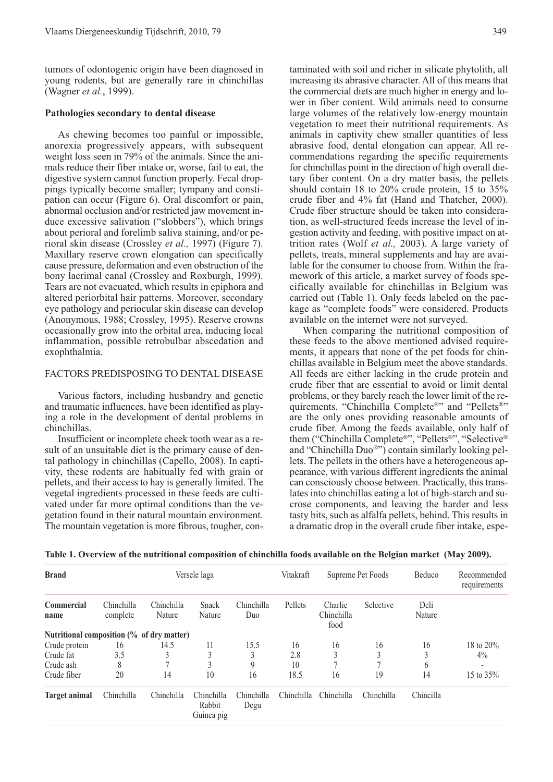tumors of odontogenic origin have been diagnosed in young rodents, but are generally rare in chinchillas (Wagner *et al.*, 1999).

### **Pathologies secondary to dental disease**

As chewing becomes too painful or impossible, anorexia progressively appears, with subsequent weight loss seen in 79% of the animals. Since the animals reduce their fiber intake or, worse, fail to eat, the digestive system cannot function properly. Fecal droppings typically become smaller; tympany and constipation can occur (Figure 6). Oral discomfort or pain, abnormal occlusion and/or restricted jaw movement induce excessive salivation ("slobbers"), which brings about perioral and forelimb saliva staining, and/or perioral skin disease (Crossley *et al.,* 1997) (Figure 7). Maxillary reserve crown elongation can specifically cause pressure, deformation and even obstruction of the bony lacrimal canal (Crossley and Roxburgh, 1999). Tears are not evacuated, which results in epiphora and altered periorbital hair patterns. Moreover, secondary eye pathology and periocular skin disease can develop (Anonymous, 1988; Crossley, 1995). Reserve crowns occasionally grow into the orbital area, inducing local inflammation, possible retrobulbar abscedation and exophthalmia.

# FACTORS PREDISPOSING TO DENTAL DISEASE

Various factors, including husbandry and genetic and traumatic influences, have been identified as playing a role in the development of dental problems in chinchillas.

Insufficient or incomplete cheek tooth wear as a result of an unsuitable diet is the primary cause of dental pathology in chinchillas (Capello, 2008). In captivity, these rodents are habitually fed with grain or pellets, and their access to hay is generally limited. The vegetal ingredients processed in these feeds are cultivated under far more optimal conditions than the vegetation found in their natural mountain environment. The mountain vegetation is more fibrous, tougher, contaminated with soil and richer in silicate phytolith, all increasing its abrasive character. All of this means that the commercial diets are much higher in energy and lower in fiber content. Wild animals need to consume large volumes of the relatively low-energy mountain vegetation to meet their nutritional requirements. As animals in captivity chew smaller quantities of less abrasive food, dental elongation can appear. All recommendations regarding the specific requirements for chinchillas point in the direction of high overall dietary fiber content. On a dry matter basis, the pellets should contain 18 to 20% crude protein, 15 to 35% crude fiber and 4% fat (Hand and Thatcher, 2000). Crude fiber structure should be taken into consideration, as well-structured feeds increase the level of ingestion activity and feeding, with positive impact on attrition rates (Wolf *et al.,* 2003). A large variety of pellets, treats, mineral supplements and hay are available for the consumer to choose from. Within the framework of this article, a market survey of foods specifically available for chinchillas in Belgium was carried out (Table 1). Only feeds labeled on the package as "complete foods" were considered. Products available on the internet were not surveyed.

When comparing the nutritional composition of these feeds to the above mentioned advised requirements, it appears that none of the pet foods for chinchillas available in Belgium meet the above standards. All feeds are either lacking in the crude protein and crude fiber that are essential to avoid or limit dental problems, or they barely reach the lower limit of the requirements. "Chinchilla Complete®" and "Pellets®" are the only ones providing reasonable amounts of crude fiber. Among the feeds available, only half of them ("Chinchilla Complete®", "Pellets®", "Selective® and "Chinchilla Duo®") contain similarly looking pellets. The pellets in the others have a heterogeneous appearance, with various different ingredients the animal can consciously choose between. Practically, this translates into chinchillas eating a lot of high-starch and sucrose components, and leaving the harder and less tasty bits, such as alfalfa pellets, behind. This results in a dramatic drop in the overall crude fiber intake, espe-

| <b>Brand</b>                              | Versele laga           |                      |                                    |                    | Vitakraft  | Supreme Pet Foods             |               | Beduco         | Recommended<br>requirements |
|-------------------------------------------|------------------------|----------------------|------------------------------------|--------------------|------------|-------------------------------|---------------|----------------|-----------------------------|
| Commercial<br>name                        | Chinchilla<br>complete | Chinchilla<br>Nature | Snack<br>Nature                    | Chinchilla<br>Duo  | Pellets    | Charlie<br>Chinchilla<br>food | Selective     | Deli<br>Nature |                             |
| Nutritional composition (% of dry matter) |                        |                      |                                    |                    |            |                               |               |                |                             |
| Crude protein                             | 16                     | 14.5                 | 11                                 | 15.5               | 16         | 16                            | 16            | 16             | 18 to 20%                   |
| Crude fat                                 | 3.5                    |                      |                                    | 3                  | 2.8        | 3                             | 3             | 3              | $4\%$                       |
| Crude ash                                 | 8                      |                      | 3                                  | 9                  | 10         | π                             | $\mathcal{I}$ | 6              |                             |
| Crude fiber                               | 20                     | 14                   | 10                                 | 16                 | 18.5       | 16                            | 19            | 14             | 15 to 35%                   |
| <b>Target animal</b>                      | Chinchilla             | Chinchilla           | Chinchilla<br>Rabbit<br>Guinea pig | Chinchilla<br>Degu | Chinchilla | Chinchilla                    | Chinchilla    | Chincilla      |                             |

| Table 1. Overview of the nutritional composition of chinchilla foods available on the Belgian market (May 2009). |  |  |
|------------------------------------------------------------------------------------------------------------------|--|--|
|                                                                                                                  |  |  |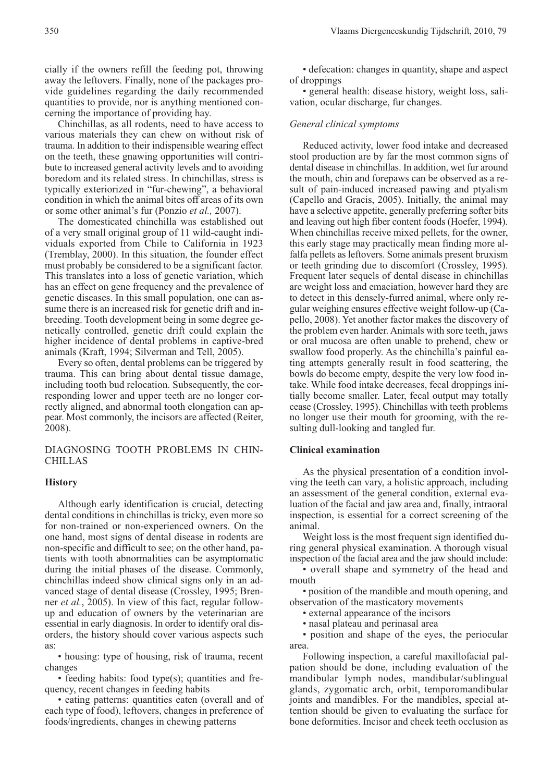Chinchillas, as all rodents, need to have access to various materials they can chew on without risk of trauma. In addition to their indispensible wearing effect on the teeth, these gnawing opportunities will contribute to increased general activity levels and to avoiding boredom and its related stress. In chinchillas, stress is typically exteriorized in "fur-chewing", a behavioral condition in which the animal bites off areas of its own or some other animal's fur (Ponzio *et al.,* 2007).

The domesticated chinchilla was established out of a very small original group of 11 wild-caught individuals exported from Chile to California in 1923 (Tremblay, 2000). In this situation, the founder effect must probably be considered to be a significant factor. This translates into a loss of genetic variation, which has an effect on gene frequency and the prevalence of genetic diseases. In this small population, one can assume there is an increased risk for genetic drift and inbreeding. Tooth development being in some degree genetically controlled, genetic drift could explain the higher incidence of dental problems in captive-bred animals (Kraft, 1994; Silverman and Tell, 2005).

Every so often, dental problems can be triggered by trauma. This can bring about dental tissue damage, including tooth bud relocation. Subsequently, the corresponding lower and upper teeth are no longer correctly aligned, and abnormal tooth elongation can appear. Most commonly, the incisors are affected (Reiter, 2008).

DIAGNOSING TOOTH PROBLEMS IN CHIN-CHILLAS

### **History**

Although early identification is crucial, detecting dental conditions in chinchillas is tricky, even more so for non-trained or non-experienced owners. On the one hand, most signs of dental disease in rodents are non-specific and difficult to see; on the other hand, patients with tooth abnormalities can be asymptomatic during the initial phases of the disease. Commonly, chinchillas indeed show clinical signs only in an advanced stage of dental disease (Crossley, 1995; Brenner *et al.*, 2005). In view of this fact, regular followup and education of owners by the veterinarian are essential in early diagnosis. In order to identify oral disorders, the history should cover various aspects such as:

• housing: type of housing, risk of trauma, recent changes

• feeding habits: food type(s); quantities and frequency, recent changes in feeding habits

• eating patterns: quantities eaten (overall and of each type of food), leftovers, changes in preference of foods/ingredients, changes in chewing patterns

• defecation: changes in quantity, shape and aspect of droppings

• general health: disease history, weight loss, salivation, ocular discharge, fur changes.

### *General clinical symptoms*

Reduced activity, lower food intake and decreased stool production are by far the most common signs of dental disease in chinchillas. In addition, wet fur around the mouth, chin and forepaws can be observed as a result of pain-induced increased pawing and ptyalism (Capello and Gracis, 2005). Initially, the animal may have a selective appetite, generally preferring softer bits and leaving out high fiber content foods (Hoefer, 1994). When chinchillas receive mixed pellets, for the owner, this early stage may practically mean finding more alfalfa pellets as leftovers. Some animals present bruxism or teeth grinding due to discomfort (Crossley, 1995). Frequent later sequels of dental disease in chinchillas are weight loss and emaciation, however hard they are to detect in this densely-furred animal, where only regular weighing ensures effective weight follow-up (Capello, 2008). Yet another factor makes the discovery of the problem even harder. Animals with sore teeth, jaws or oral mucosa are often unable to prehend, chew or swallow food properly. As the chinchilla's painful eating attempts generally result in food scattering, the bowls do become empty, despite the very low food intake. While food intake decreases, fecal droppings initially become smaller. Later, fecal output may totally cease (Crossley, 1995). Chinchillas with teeth problems no longer use their mouth for grooming, with the resulting dull-looking and tangled fur.

### **Clinical examination**

As the physical presentation of a condition involving the teeth can vary, a holistic approach, including an assessment of the general condition, external evaluation of the facial and jaw area and, finally, intraoral inspection, is essential for a correct screening of the animal.

Weight loss is the most frequent sign identified during general physical examination. A thorough visual inspection of the facial area and the jaw should include:

• overall shape and symmetry of the head and mouth

• position of the mandible and mouth opening, and observation of the masticatory movements

• external appearance of the incisors

• nasal plateau and perinasal area

• position and shape of the eyes, the periocular area.

Following inspection, a careful maxillofacial palpation should be done, including evaluation of the mandibular lymph nodes, mandibular/sublingual glands, zygomatic arch, orbit, temporomandibular joints and mandibles. For the mandibles, special attention should be given to evaluating the surface for bone deformities. Incisor and cheek teeth occlusion as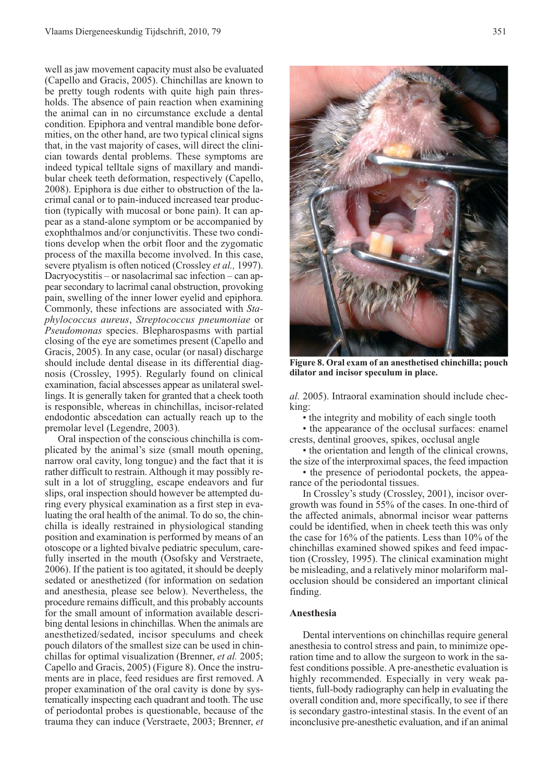well as jaw movement capacity must also be evaluated (Capello and Gracis, 2005). Chinchillas are known to be pretty tough rodents with quite high pain thresholds. The absence of pain reaction when examining the animal can in no circumstance exclude a dental condition. Epiphora and ventral mandible bone deformities, on the other hand, are two typical clinical signs that, in the vast majority of cases, will direct the clinician towards dental problems. These symptoms are indeed typical telltale signs of maxillary and mandibular cheek teeth deformation, respectively (Capello, 2008). Epiphora is due either to obstruction of the lacrimal canal or to pain-induced increased tear production (typically with mucosal or bone pain). It can appear as a stand-alone symptom or be accompanied by exophthalmos and/or conjunctivitis. These two conditions develop when the orbit floor and the zygomatic process of the maxilla become involved. In this case, severe ptyalism is often noticed (Crossley *et al.,* 1997). Dacryocystitis – or nasolacrimal sac infection – can appear secondary to lacrimal canal obstruction, provoking pain, swelling of the inner lower eyelid and epiphora. Commonly, these infections are associated with *Staphylococcus aureus*, *Streptococcus pneumoniae* or *Pseudomonas* species. Blepharospasms with partial closing of the eye are sometimes present (Capello and Gracis, 2005). In any case, ocular (or nasal) discharge should include dental disease in its differential diagnosis (Crossley, 1995). Regularly found on clinical examination, facial abscesses appear as unilateral swellings. It is generally taken for granted that a cheek tooth is responsible, whereas in chinchillas, incisor-related endodontic abscedation can actually reach up to the premolar level (Legendre, 2003).

Oral inspection of the conscious chinchilla is complicated by the animal's size (small mouth opening, narrow oral cavity, long tongue) and the fact that it is rather difficult to restrain. Although it may possibly result in a lot of struggling, escape endeavors and fur slips, oral inspection should however be attempted during every physical examination as a first step in evaluating the oral health of the animal. To do so, the chinchilla is ideally restrained in physiological standing position and examination is performed by means of an otoscope or a lighted bivalve pediatric speculum, carefully inserted in the mouth (Osofsky and Verstraete, 2006). If the patient is too agitated, it should be deeply sedated or anesthetized (for information on sedation and anesthesia, please see below). Nevertheless, the procedure remains difficult, and this probably accounts for the small amount of information available describing dental lesions in chinchillas. When the animals are anesthetized/sedated, incisor speculums and cheek pouch dilators of the smallest size can be used in chinchillas for optimal visualization (Brenner, *et al.* 2005; Capello and Gracis, 2005) (Figure 8). Once the instruments are in place, feed residues are first removed. A proper examination of the oral cavity is done by systematically inspecting each quadrant and tooth. The use of periodontal probes is questionable, because of the trauma they can induce (Verstraete, 2003; Brenner, *et*



**Figure 8. Oral exam of an anesthetised chinchilla; pouch dilator and incisor speculum in place.** 

*al.* 2005). Intraoral examination should include checking:

• the integrity and mobility of each single tooth

• the appearance of the occlusal surfaces: enamel crests, dentinal grooves, spikes, occlusal angle

• the orientation and length of the clinical crowns, the size of the interproximal spaces, the feed impaction

• the presence of periodontal pockets, the appearance of the periodontal tissues.

In Crossley's study (Crossley, 2001), incisor overgrowth was found in 55% of the cases. In one-third of the affected animals, abnormal incisor wear patterns could be identified, when in cheek teeth this was only the case for 16% of the patients. Less than 10% of the chinchillas examined showed spikes and feed impaction (Crossley, 1995). The clinical examination might be misleading, and a relatively minor molariform malocclusion should be considered an important clinical finding.

# **Anesthesia**

Dental interventions on chinchillas require general anesthesia to control stress and pain, to minimize operation time and to allow the surgeon to work in the safest conditions possible. A pre-anesthetic evaluation is highly recommended. Especially in very weak patients, full-body radiography can help in evaluating the overall condition and, more specifically, to see if there is secondary gastro-intestinal stasis. In the event of an inconclusive pre-anesthetic evaluation, and if an animal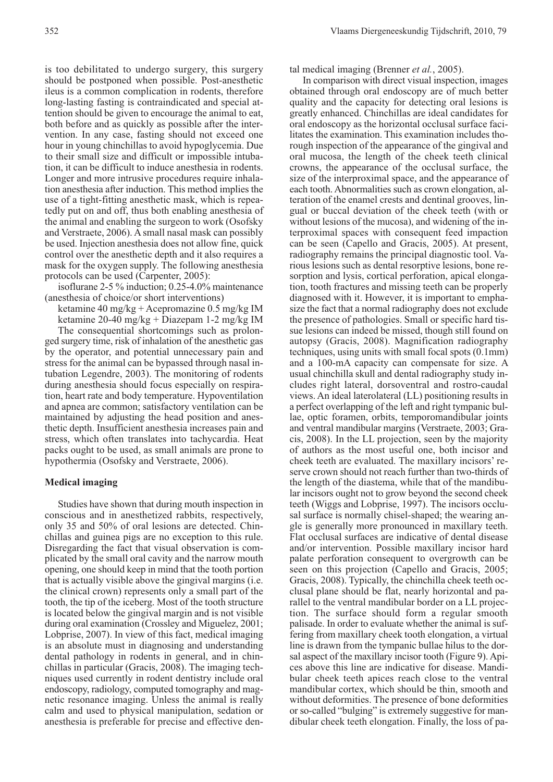is too debilitated to undergo surgery, this surgery should be postponed when possible. Post-anesthetic ileus is a common complication in rodents, therefore long-lasting fasting is contraindicated and special attention should be given to encourage the animal to eat, both before and as quickly as possible after the intervention. In any case, fasting should not exceed one hour in young chinchillas to avoid hypoglycemia. Due to their small size and difficult or impossible intubation, it can be difficult to induce anesthesia in rodents. Longer and more intrusive procedures require inhalation anesthesia after induction. This method implies the use of a tight-fitting anesthetic mask, which is repeatedly put on and off, thus both enabling anesthesia of the animal and enabling the surgeon to work (Osofsky and Verstraete, 2006). A small nasal mask can possibly be used. Injection anesthesia does not allow fine, quick control over the anesthetic depth and it also requires a mask for the oxygen supply. The following anesthesia protocols can be used (Carpenter, 2005):

isoflurane 2-5 % induction; 0.25-4.0% maintenance (anesthesia of choice/or short interventions)

ketamine 40 mg/kg + Acepromazine 0.5 mg/kg IM ketamine 20-40 mg/kg + Diazepam 1-2 mg/kg IM

The consequential shortcomings such as prolonged surgery time, risk of inhalation of the anesthetic gas by the operator, and potential unnecessary pain and stress for the animal can be bypassed through nasal intubation Legendre, 2003). The monitoring of rodents during anesthesia should focus especially on respiration, heart rate and body temperature. Hypoventilation and apnea are common; satisfactory ventilation can be maintained by adjusting the head position and anesthetic depth. Insufficient anesthesia increases pain and stress, which often translates into tachycardia. Heat packs ought to be used, as small animals are prone to hypothermia (Osofsky and Verstraete, 2006).

# **Medical imaging**

Studies have shown that during mouth inspection in conscious and in anesthetized rabbits, respectively, only 35 and 50% of oral lesions are detected. Chinchillas and guinea pigs are no exception to this rule. Disregarding the fact that visual observation is complicated by the small oral cavity and the narrow mouth opening, one should keep in mind that the tooth portion that is actually visible above the gingival margins (i.e. the clinical crown) represents only a small part of the tooth, the tip of the iceberg. Most of the tooth structure is located below the gingival margin and is not visible during oral examination (Crossley and Miguelez, 2001; Lobprise, 2007). In view of this fact, medical imaging is an absolute must in diagnosing and understanding dental pathology in rodents in general, and in chinchillas in particular (Gracis, 2008). The imaging techniques used currently in rodent dentistry include oral endoscopy, radiology, computed tomography and magnetic resonance imaging. Unless the animal is really calm and used to physical manipulation, sedation or anesthesia is preferable for precise and effective dental medical imaging (Brenner *et al.*, 2005).

In comparison with direct visual inspection, images obtained through oral endoscopy are of much better quality and the capacity for detecting oral lesions is greatly enhanced. Chinchillas are ideal candidates for oral endoscopy as the horizontal occlusal surface facilitates the examination. This examination includes thorough inspection of the appearance of the gingival and oral mucosa, the length of the cheek teeth clinical crowns, the appearance of the occlusal surface, the size of the interproximal space, and the appearance of each tooth. Abnormalities such as crown elongation, alteration of the enamel crests and dentinal grooves, lingual or buccal deviation of the cheek teeth (with or with out lesions of the mucosa), and widening of the interproximal spaces with consequent feed impaction can be seen (Capello and Gracis, 2005). At present, radiography remains the principal diagnostic tool. Various lesions such as dental resorptive lesions, bone resorption and lysis, cortical perforation, apical elongation, tooth fractures and missing teeth can be properly diagnosed with it. However, it is important to emphasize the fact that a normal radiography does not exclude the presence of pathologies. Small or specific hard tissue lesions can indeed be missed, though still found on autopsy (Gracis, 2008). Magnification radiography techniques, using units with small focal spots (0.1mm) and a 100-mA capacity can compensate for size. A usual chinchilla skull and dental radiography study includes right lateral, dorsoventral and rostro-caudal views. An ideal laterolateral (LL) positioning results in a perfect overlapping of the left and right tympanic bullae, optic foramen, orbits, temporomandibular joints and ventral mandibular margins (Verstraete, 2003; Gracis, 2008). In the LL projection, seen by the majority of authors as the most useful one, both incisor and cheek teeth are evaluated. The maxillary incisors' reserve crown should not reach further than two-thirds of the length of the diastema, while that of the mandibular incisors ought not to grow beyond the second cheek teeth (Wiggs and Lobprise, 1997). The incisors occlusal surface is normally chisel-shaped; the wearing angle is generally more pronounced in maxillary teeth. Flat occlusal surfaces are indicative of dental disease and/or intervention. Possible maxillary incisor hard palate perforation consequent to overgrowth can be seen on this projection (Capello and Gracis, 2005; Gracis, 2008). Typically, the chinchilla cheek teeth occlusal plane should be flat, nearly horizontal and parallel to the ventral mandibular border on a LL projection. The surface should form a regular smooth palisade. In order to evaluate whether the animal is suffering from maxillary cheek tooth elongation, a virtual line is drawn from the tympanic bullae hilus to the dorsal aspect of the maxillary incisor tooth (Figure 9). Apices above this line are indicative for disease. Mandibular cheek teeth apices reach close to the ventral mandibular cortex, which should be thin, smooth and without deformities. The presence of bone deformities or so-called "bulging" is extremely suggestive for mandibular cheek teeth elongation. Finally, the loss of pa-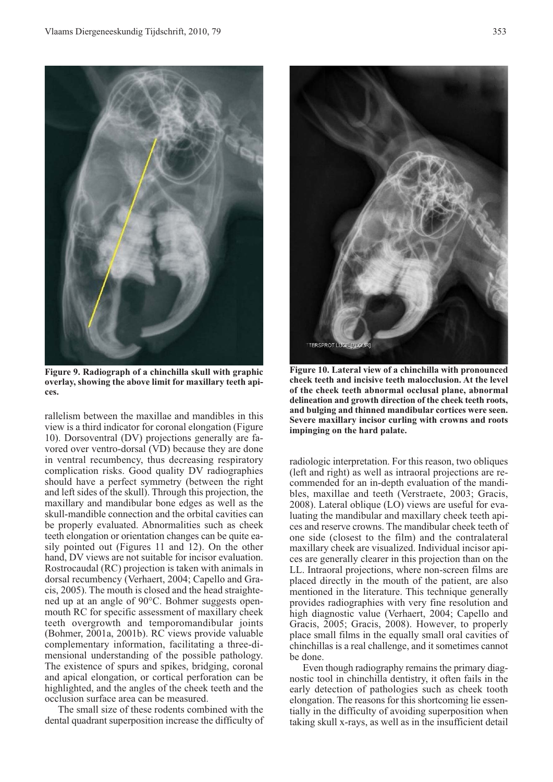

**Figure 9. Radiograph of a chinchilla skull with graphic overlay, showing the above limit for maxillary teeth apices.**

rallelism between the maxillae and mandibles in this view is a third indicator for coronal elongation (Figure 10). Dorsoventral (DV) projections generally are favored over ventro-dorsal (VD) because they are done in ventral recumbency, thus decreasing respiratory complication risks. Good quality DV radiographies should have a perfect symmetry (between the right and left sides of the skull). Through this projection, the maxillary and mandibular bone edges as well as the skull-mandible connection and the orbital cavities can be properly evaluated. Abnormalities such as cheek teeth elongation or orientation changes can be quite easily pointed out (Figures 11 and 12). On the other hand, DV views are not suitable for incisor evaluation. Rostrocaudal (RC) projection is taken with animals in dorsal recumbency (Verhaert, 2004; Capello and Gracis, 2005). The mouth is closed and the head straightened up at an angle of 90°C. Bohmer suggests openmouth RC for specific assessment of maxillary cheek teeth overgrowth and temporomandibular joints (Bohmer, 2001a, 2001b). RC views provide valuable complementary information, facilitating a three-dimensional understanding of the possible pathology. The existence of spurs and spikes, bridging, coronal and apical elongation, or cortical perforation can be highlighted, and the angles of the cheek teeth and the occlusion surface area can be measured.

The small size of these rodents combined with the dental quadrant superposition increase the difficulty of



**Figure 10. Lateral view of a chinchilla with pronounced cheek teeth and incisive teeth malocclusion. At the level of the cheek teeth abnormal occlusal plane, abnormal delineation and growth direction of the cheek teeth roots, and bulging and thinned mandibular cortices were seen. Severe maxillary incisor curling with crowns and roots impinging on the hard palate.** 

radiologic interpretation. For this reason, two obliques (left and right) as well as intraoral projections are recommended for an in-depth evaluation of the mandibles, maxillae and teeth (Verstraete, 2003; Gracis, 2008). Lateral oblique (LO) views are useful for evaluating the mandibular and maxillary cheek teeth apices and reserve crowns. The mandibular cheek teeth of one side (closest to the film) and the contralateral maxillary cheek are visualized. Individual incisor apices are generally clearer in this projection than on the LL. Intraoral projections, where non-screen films are placed directly in the mouth of the patient, are also mentioned in the literature. This technique generally provides radiographies with very fine resolution and high diagnostic value (Verhaert, 2004; Capello and Gracis, 2005; Gracis, 2008). However, to properly place small films in the equally small oral cavities of chinchillas is a real challenge, and it sometimes cannot be done.

Even though radiography remains the primary diagnostic tool in chinchilla dentistry, it often fails in the early detection of pathologies such as cheek tooth elongation. The reasons for this shortcoming lie essentially in the difficulty of avoiding superposition when taking skull x-rays, as well as in the insufficient detail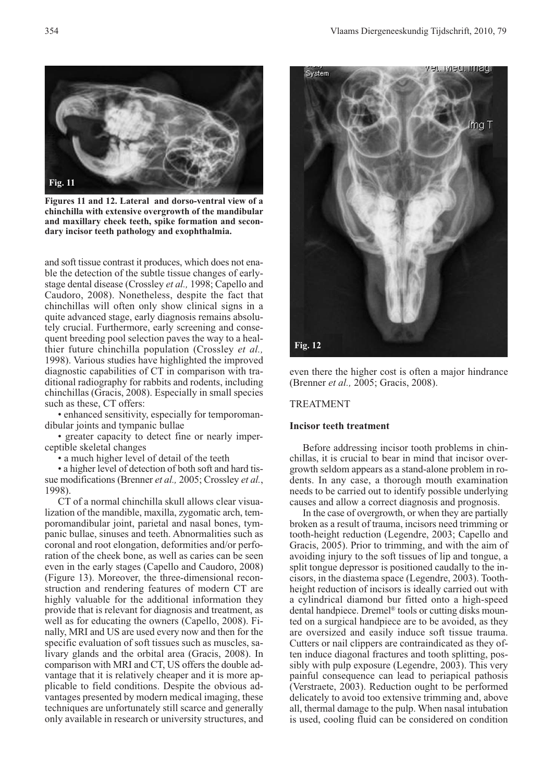

**Figures 11 and 12. Lateral and dorso-ventral view of a chinchilla with extensive overgrowth of the mandibular and maxillary cheek teeth, spike formation and secondary incisor teeth pathology and exophthalmia.** 

and soft tissue contrast it produces, which does not enable the detection of the subtle tissue changes of earlystage dental disease (Crossley *et al.,* 1998; Capello and Caudoro, 2008). Nonetheless, despite the fact that chinchillas will often only show clinical signs in a quite advanced stage, early diagnosis remains absolutely crucial. Furthermore, early screening and consequent breeding pool selection paves the way to a healthier future chinchilla population (Crossley *et al.,* 1998). Various studies have highlighted the improved diagnostic capabilities of CT in comparison with traditional radiography for rabbits and rodents, including chinchillas (Gracis, 2008). Especially in small species such as these, CT offers:

• enhanced sensitivity, especially for temporomandibular joints and tympanic bullae

• greater capacity to detect fine or nearly imperceptible skeletal changes

• a much higher level of detail of the teeth

• a higher level of detection of both soft and hard tissue modifications (Brenner *et al.,* 2005; Crossley *et al.*, 1998).

CT of a normal chinchilla skull allows clear visualization of the mandible, maxilla, zygomatic arch, temporomandibular joint, parietal and nasal bones, tympanic bullae, sinuses and teeth. Abnormalities such as coronal and root elongation, deformities and/or perforation of the cheek bone, as well as caries can be seen even in the early stages (Capello and Caudoro, 2008) (Figure 13). Moreover, the three-dimensional reconstruction and rendering features of modern CT are highly valuable for the additional information they provide that is relevant for diagnosis and treatment, as well as for educating the owners (Capello, 2008). Finally, MRI and US are used every now and then for the specific evaluation of soft tissues such as muscles, salivary glands and the orbital area (Gracis, 2008). In comparison with MRI and CT, US offers the double advantage that it is relatively cheaper and it is more applicable to field conditions. Despite the obvious advantages presented by modern medical imaging, these techniques are unfortunately still scarce and generally only available in research or university structures, and



even there the higher cost is often a major hindrance (Brenner *et al.,* 2005; Gracis, 2008).

# TREATMENT

## **Incisor teeth treatment**

Before addressing incisor tooth problems in chinchillas, it is crucial to bear in mind that incisor overgrowth seldom appears as a stand-alone problem in rodents. In any case, a thorough mouth examination needs to be carried out to identify possible underlying causes and allow a correct diagnosis and prognosis.

In the case of overgrowth, or when they are partially broken as a result of trauma, incisors need trimming or tooth-height reduction (Legendre, 2003; Capello and Gracis, 2005). Prior to trimming, and with the aim of avoiding injury to the soft tissues of lip and tongue, a split tongue depressor is positioned caudally to the incisors, in the diastema space (Legendre, 2003). Toothheight reduction of incisors is ideally carried out with a cylindrical diamond bur fitted onto a high-speed dental handpiece. Dremel® tools or cutting disks mounted on a surgical handpiece are to be avoided, as they are oversized and easily induce soft tissue trauma. Cutters or nail clippers are contraindicated as they often induce diagonal fractures and tooth splitting, possibly with pulp exposure (Legendre, 2003). This very painful consequence can lead to periapical pathosis (Verstraete, 2003). Reduction ought to be performed delicately to avoid too extensive trimming and, above all, thermal damage to the pulp. When nasal intubation is used, cooling fluid can be considered on condition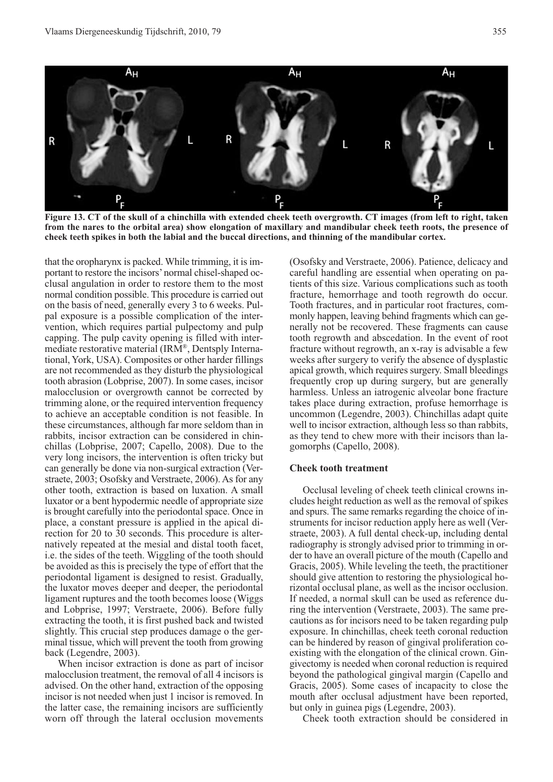

**Figure 13. CT of the skull of a chinchilla with extended cheek teeth overgrowth. CT images (from left to right, taken from the nares to the orbital area) show elongation of maxillary and mandibular cheek teeth roots, the presence of cheek teeth spikes in both the labial and the buccal directions, and thinning of the mandibular cortex.**

that the oropharynx is packed. While trimming, it is important to restore the incisors' normal chisel-shaped occlusal angulation in order to restore them to the most normal condition possible. This procedure is carried out on the basis of need, generally every 3 to 6 weeks. Pulpal exposure is a possible complication of the intervention, which requires partial pulpectomy and pulp capping. The pulp cavity opening is filled with intermediate restorative material (IRM®, Dentsply International, York, USA). Composites or other harder fillings are not recommended as they disturb the physiological tooth abrasion (Lobprise, 2007). In some cases, incisor malocclusion or overgrowth cannot be corrected by trimming alone, or the required intervention frequency to achieve an acceptable condition is not feasible. In these circumstances, although far more seldom than in rabbits, incisor extraction can be considered in chinchillas (Lobprise, 2007; Capello, 2008). Due to the very long incisors, the intervention is often tricky but can generally be done via non-surgical extraction (Verstraete, 2003; Osofsky and Verstraete, 2006). As for any other tooth, extraction is based on luxation. A small luxator or a bent hypodermic needle of appropriate size is brought carefully into the periodontal space. Once in place, a constant pressure is applied in the apical direction for 20 to 30 seconds. This procedure is alternatively repeated at the mesial and distal tooth facet, i.e. the sides of the teeth. Wiggling of the tooth should be avoided as this is precisely the type of effort that the periodontal ligament is designed to resist. Gradually, the luxator moves deeper and deeper, the periodontal ligament ruptures and the tooth becomes loose (Wiggs and Lobprise, 1997; Verstraete, 2006). Before fully extracting the tooth, it is first pushed back and twisted slightly. This crucial step produces damage o the germinal tissue, which will prevent the tooth from growing back (Legendre, 2003).

When incisor extraction is done as part of incisor malocclusion treatment, the removal of all 4 incisors is advised. On the other hand, extraction of the opposing incisor is not needed when just 1 incisor is removed. In the latter case, the remaining incisors are sufficiently worn off through the lateral occlusion movements (Osofsky and Verstraete, 2006). Patience, delicacy and careful handling are essential when operating on patients of this size. Various complications such as tooth fracture, hemorrhage and tooth regrowth do occur. Tooth fractures, and in particular root fractures, commonly happen, leaving behind fragments which can generally not be recovered. These fragments can cause tooth regrowth and abscedation. In the event of root fracture without regrowth, an x-ray is advisable a few weeks after surgery to verify the absence of dysplastic apical growth, which requires surgery. Small bleedings frequently crop up during surgery, but are generally harmless. Unless an iatrogenic alveolar bone fracture takes place during extraction, profuse hemorrhage is uncommon (Legendre, 2003). Chinchillas adapt quite well to incisor extraction, although less so than rabbits, as they tend to chew more with their incisors than lagomorphs (Capello, 2008).

### **Cheek tooth treatment**

Occlusal leveling of cheek teeth clinical crowns includes height reduction as well as the removal of spikes and spurs. The same remarks regarding the choice of instruments for incisor reduction apply here as well (Verstraete, 2003). A full dental check-up, including dental radiography is strongly advised prior to trimming in order to have an overall picture of the mouth (Capello and Gracis, 2005). While leveling the teeth, the practitioner should give attention to restoring the physiological horizontal occlusal plane, as well as the incisor occlusion. If needed, a normal skull can be used as reference during the intervention (Verstraete, 2003). The same precautions as for incisors need to be taken regarding pulp exposure. In chinchillas, cheek teeth coronal reduction can be hindered by reason of gingival proliferation coexisting with the elongation of the clinical crown. Gingivectomy is needed when coronal reduction is required beyond the pathological gingival margin (Capello and Gracis, 2005). Some cases of incapacity to close the mouth after occlusal adjustment have been reported, but only in guinea pigs (Legendre, 2003).

Cheek tooth extraction should be considered in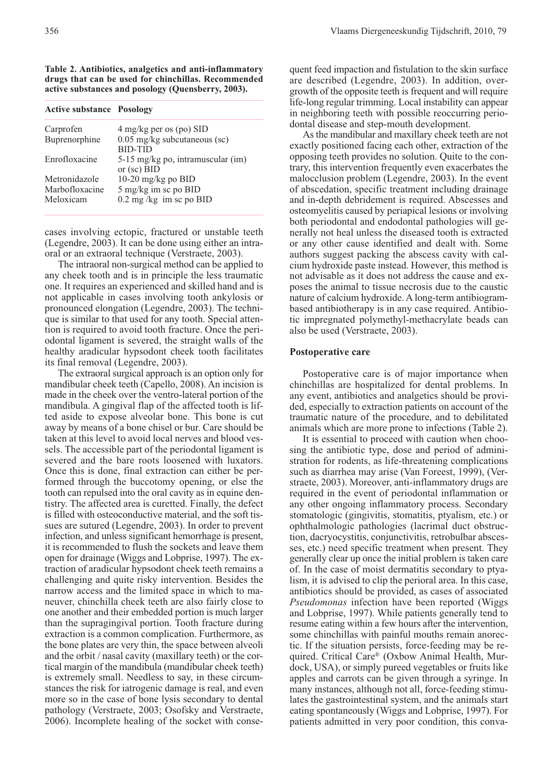**Table 2. Antibiotics, analgetics and anti-inflammatory drugs that can be used for chinchillas. Recommended active substances and posology (Quensberry, 2003).**

| <b>Active substance Posology</b> |                                   |
|----------------------------------|-----------------------------------|
| Carprofen                        | $4 \text{ mg/kg}$ per os (po) SID |
| Buprenorphine                    | 0.05 mg/kg subcutaneous (sc)      |
|                                  | <b>RID-TID</b>                    |
| Enrofloxacine                    | 5-15 mg/kg po, intramuscular (im) |
|                                  | or $({\rm sc})$ BID               |
| Metronidazole                    | 10-20 mg/kg po $BID$              |
| Marbofloxacine                   | 5 mg/kg im sc po BID              |
| Meloxicam                        | $0.2$ mg/kg im sc po BID          |

cases involving ectopic, fractured or unstable teeth (Legendre, 2003). It can be done using either an intraoral or an extraoral technique (Verstraete, 2003).

The intraoral non-surgical method can be applied to any cheek tooth and is in principle the less traumatic one. It requires an experienced and skilled hand and is not applicable in cases involving tooth ankylosis or pronounced elongation (Legendre, 2003). The technique is similar to that used for any tooth. Special attention is required to avoid tooth fracture. Once the periodontal ligament is severed, the straight walls of the healthy aradicular hypsodont cheek tooth facilitates its final removal (Legendre, 2003).

The extraoral surgical approach is an option only for mandibular cheek teeth (Capello, 2008). An incision is made in the cheek over the ventro-lateral portion of the mandibula. A gingival flap of the affected tooth is lifted aside to expose alveolar bone. This bone is cut away by means of a bone chisel or bur. Care should be taken at this level to avoid local nerves and blood vessels. The accessible part of the periodontal ligament is severed and the bare roots loosened with luxators. Once this is done, final extraction can either be performed through the buccotomy opening, or else the tooth can repulsed into the oral cavity as in equine dentistry. The affected area is curetted. Finally, the defect is filled with osteoconductive material, and the soft tissues are sutured (Legendre, 2003). In order to prevent infection, and unless significant hemorrhage is present, it is recommended to flush the sockets and leave them open for drainage (Wiggs and Lobprise, 1997). The extraction of aradicular hypsodont cheek teeth remains a challenging and quite risky intervention. Besides the narrow access and the limited space in which to maneuver, chinchilla cheek teeth are also fairly close to one another and their embedded portion is much larger than the supragingival portion. Tooth fracture during extraction is a common complication. Furthermore, as the bone plates are very thin, the space between alveoli and the orbit / nasal cavity (maxillary teeth) or the cortical margin of the mandibula (mandibular cheek teeth) is extremely small. Needless to say, in these circumstances the risk for iatrogenic damage is real, and even more so in the case of bone lysis secondary to dental pathology (Verstraete, 2003; Osofsky and Verstraete, 2006). Incomplete healing of the socket with consequent feed impaction and fistulation to the skin surface are described (Legendre, 2003). In addition, overgrowth of the opposite teeth is frequent and will require life-long regular trimming. Local instability can appear in neighboring teeth with possible reoccurring periodontal disease and step-mouth development.

As the mandibular and maxillary cheek teeth are not exactly positioned facing each other, extraction of the opposing teeth provides no solution. Quite to the contrary, this intervention frequently even exacerbates the malocclusion problem (Legendre, 2003). In the event of abscedation, specific treatment including drainage and in-depth debridement is required. Abscesses and osteomyelitis caused by periapical lesions or involving both periodontal and endodontal pathologies will generally not heal unless the diseased tooth is extracted or any other cause identified and dealt with. Some authors suggest packing the abscess cavity with calcium hydroxide paste instead. However, this method is not advisable as it does not address the cause and exposes the animal to tissue necrosis due to the caustic nature of calcium hydroxide. A long-term antibiogrambased antibiotherapy is in any case required. Antibiotic impregnated polymethyl-methacrylate beads can also be used (Verstraete, 2003).

### **Postoperative care**

Postoperative care is of major importance when chinchillas are hospitalized for dental problems. In any event, antibiotics and analgetics should be provided, especially to extraction patients on account of the traumatic nature of the procedure, and to debilitated animals which are more prone to infections (Table 2).

It is essential to proceed with caution when choosing the antibiotic type, dose and period of administration for rodents, as life-threatening complications such as diarrhea may arise (Van Foreest, 1999), (Verstraete, 2003). Moreover, anti-inflammatory drugs are required in the event of periodontal inflammation or any other ongoing inflammatory process. Secondary stomatologic (gingivitis, stomatitis, ptyalism, etc.) or ophthalmologic pathologies (lacrimal duct obstruction, dacryocystitis, conjunctivitis, retrobulbar abscesses, etc.) need specific treatment when present. They generally clear up once the initial problem is taken care of. In the case of moist dermatitis secondary to ptyalism, it is advised to clip the perioral area. In this case, antibiotics should be provided, as cases of associated *Pseudomonas* infection have been reported (Wiggs and Lobprise, 1997). While patients generally tend to resume eating within a few hours after the intervention, some chinchillas with painful mouths remain anorectic. If the situation persists, force-feeding may be required. Critical Care® (Oxbow Animal Health, Murdock, USA), or simply pureed vegetables or fruits like apples and carrots can be given through a syringe. In many instances, although not all, force-feeding stimulates the gastrointestinal system, and the animals start eating spontaneously (Wiggs and Lobprise, 1997). For patients admitted in very poor condition, this conva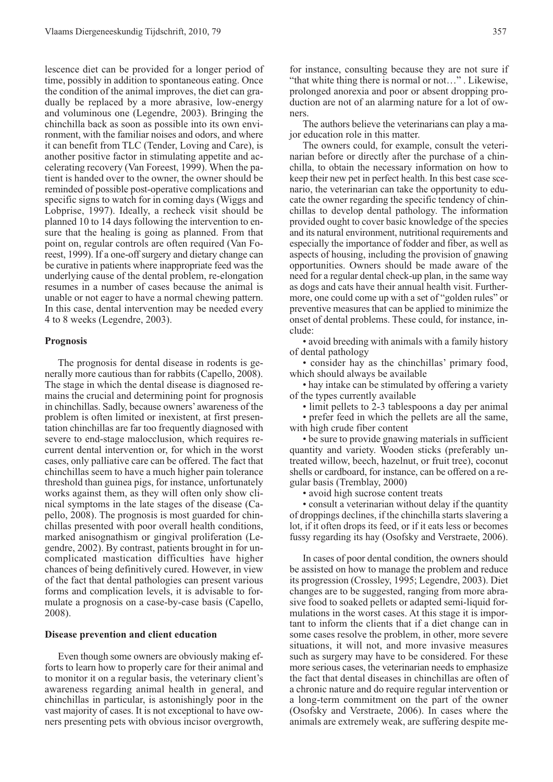lescence diet can be provided for a longer period of time, possibly in addition to spontaneous eating. Once the condition of the animal improves, the diet can gradually be replaced by a more abrasive, low-energy and voluminous one (Legendre, 2003). Bringing the chinchilla back as soon as possible into its own environment, with the familiar noises and odors, and where it can benefit from TLC (Tender, Loving and Care), is another positive factor in stimulating appetite and accelerating recovery (Van Foreest, 1999). When the patient is handed over to the owner, the owner should be reminded of possible post-operative complications and specific signs to watch for in coming days (Wiggs and Lobprise, 1997). Ideally, a recheck visit should be planned 10 to 14 days following the intervention to ensure that the healing is going as planned. From that point on, regular controls are often required (Van Foreest, 1999). If a one-off surgery and dietary change can be curative in patients where inappropriate feed was the underlying cause of the dental problem, re-elongation resumes in a number of cases because the animal is unable or not eager to have a normal chewing pattern. In this case, dental intervention may be needed every 4 to 8 weeks (Legendre, 2003).

# **Prognosis**

The prognosis for dental disease in rodents is generally more cautious than for rabbits (Capello, 2008). The stage in which the dental disease is diagnosed remains the crucial and determining point for prognosis in chinchillas. Sadly, because owners' awareness of the problem is often limited or inexistent, at first presentation chinchillas are far too frequently diagnosed with severe to end-stage malocclusion, which requires recurrent dental intervention or, for which in the worst cases, only palliative care can be offered. The fact that chinchillas seem to have a much higher pain tolerance threshold than guinea pigs, for instance, unfortunately works against them, as they will often only show clinical symptoms in the late stages of the disease (Capello, 2008). The prognosis is most guarded for chinchillas presented with poor overall health conditions, marked anisognathism or gingival proliferation (Legendre, 2002). By contrast, patients brought in for uncomplicated mastication difficulties have higher chances of being definitively cured. However, in view of the fact that dental pathologies can present various forms and complication levels, it is advisable to formulate a prognosis on a case-by-case basis (Capello, 2008).

## **Disease prevention and client education**

Even though some owners are obviously making efforts to learn how to properly care for their animal and to monitor it on a regular basis, the veterinary client's awareness regarding animal health in general, and chinchillas in particular, is astonishingly poor in the vast majority of cases. It is not exceptional to have owners presenting pets with obvious incisor overgrowth,

for instance, consulting because they are not sure if "that white thing there is normal or not…" . Likewise, prolonged anorexia and poor or absent dropping production are not of an alarming nature for a lot of owners.

The authors believe the veterinarians can play a major education role in this matter.

The owners could, for example, consult the veterinarian before or directly after the purchase of a chinchilla, to obtain the necessary information on how to keep their new pet in perfect health. In this best case scenario, the veterinarian can take the opportunity to educate the owner regarding the specific tendency of chinchillas to develop dental pathology. The information provided ought to cover basic knowledge of the species and its natural environment, nutritional requirements and especially the importance of fodder and fiber, as well as aspects of housing, including the provision of gnawing opportunities. Owners should be made aware of the need for a regular dental check-up plan, in the same way as dogs and cats have their annual health visit. Furthermore, one could come up with a set of "golden rules" or preventive measures that can be applied to minimize the onset of dental problems. These could, for instance, include:

• avoid breeding with animals with a family history of dental pathology

• consider hay as the chinchillas' primary food, which should always be available

• hay intake can be stimulated by offering a variety of the types currently available

• limit pellets to 2-3 tablespoons a day per animal

• prefer feed in which the pellets are all the same, with high crude fiber content

• be sure to provide gnawing materials in sufficient quantity and variety. Wooden sticks (preferably untreated willow, beech, hazelnut, or fruit tree), coconut shells or cardboard, for instance, can be offered on a regular basis (Tremblay, 2000)

• avoid high sucrose content treats

• consult a veterinarian without delay if the quantity of droppings declines, if the chinchilla starts slavering a lot, if it often drops its feed, or if it eats less or becomes fussy regarding its hay (Osofsky and Verstraete, 2006).

In cases of poor dental condition, the owners should be assisted on how to manage the problem and reduce its progression (Crossley, 1995; Legendre, 2003). Diet changes are to be suggested, ranging from more abrasive food to soaked pellets or adapted semi-liquid formulations in the worst cases. At this stage it is important to inform the clients that if a diet change can in some cases resolve the problem, in other, more severe situations, it will not, and more invasive measures such as surgery may have to be considered. For these more serious cases, the veterinarian needs to emphasize the fact that dental diseases in chinchillas are often of a chronic nature and do require regular intervention or a long-term commitment on the part of the owner (Osofsky and Verstraete, 2006). In cases where the animals are extremely weak, are suffering despite me